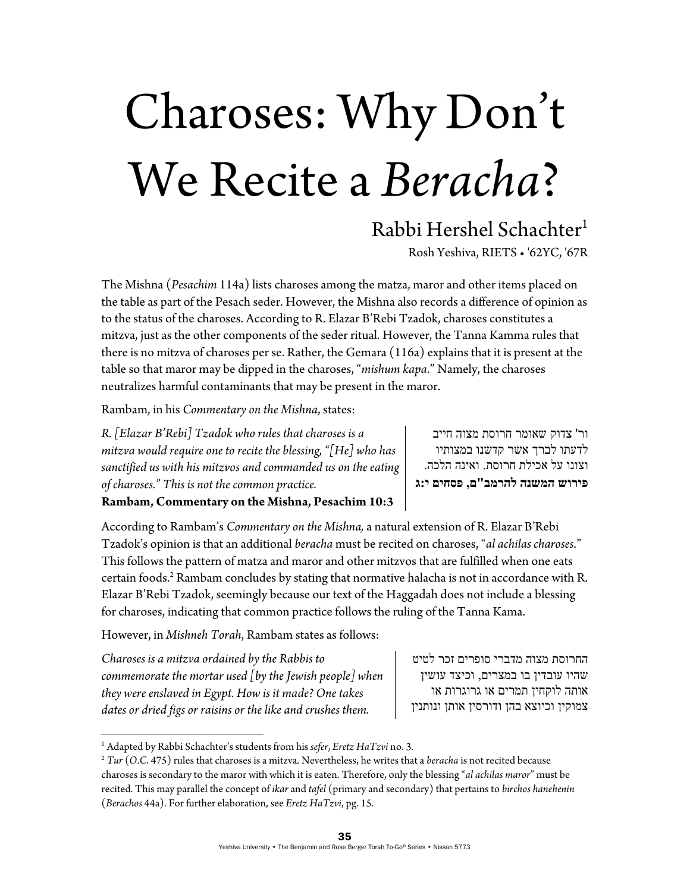# Charoses: Why Don't We Recite a *Beracha*?

## Rabbi Hershel Schachter<sup>1</sup>

Rosh Yeshiva, RIETS • '62YC, '67R

The Mishna (*Pesachim* 114a) lists charoses among the matza, maror and other items placed on the table as part of the Pesach seder. However, the Mishna also records a difference of opinion as to the status of the charoses. According to R. Elazar B'Rebi Tzadok, charoses constitutes a mitzva, just as the other components of the seder ritual. However, the Tanna Kamma rules that there is no mitzva of charoses per se. Rather, the Gemara (116a) explains that it is present at the table so that maror may be dipped in the charoses, "*mishum kapa*." Namely, the charoses neutralizes harmful contaminants that may be present in the maror.

Rambam, in his *Commentary on the Mishna*, states:

*R. [Elazar B'Rebi] Tzadok who rules that charoses is a mitzva would require one to recite the blessing, "[He] who has sanctified us with his mitzvos and commanded us on the eating of charoses." This is not the common practice.* 

ור' צדוק שאומר חרוסת מצוה חייב לדעתו לברך אשר קדשנו במצותיו וצונו על אכילת חרוסת. ואינה הלכה. **פירוש המשנה להרמב"ם, פסחים י:ג**

### **Rambam, Commentary on the Mishna, Pesachim 10:3**

According to Rambam's *Commentary on the Mishna,* a natural extension of R. Elazar B'Rebi Tzadok's opinion is that an additional *beracha* must be recited on charoses, "*al achilas charoses*." This follows the pattern of matza and maror and other mitzvos that are fulfilled when one eats certain foods.<sup>2</sup> Rambam concludes by stating that normative halacha is not in accordance with R. Elazar B'Rebi Tzadok, seemingly because our text of the Haggadah does not include a blessing for charoses, indicating that common practice follows the ruling of the Tanna Kama.

However, in *Mishneh Torah*, Rambam states as follows:

*Charoses is a mitzva ordained by the Rabbis to commemorate the mortar used [by the Jewish people] when they were enslaved in Egypt. How is it made? One takes dates or dried figs or raisins or the like and crushes them.* 

החרוסת מצוה מדברי סופרים זכר לטיט שהיו עובדין בו במצרים, וכיצד עושין אותה לוקחין תמרים או גרוגרות או צמוקין וכיוצא בהן ודורסין אותן ונותנין

<sup>&</sup>lt;sup>1</sup> Adapted by Rabbi Schachter's students from his sefer, Eretz HaTzvi no. 3.

 $2$  Tur (O.C. 475) rules that charoses is a mitzva. Nevertheless, he writes that a beracha is not recited because charoses is secondary to the maror with which it is eaten. Therefore, only the blessing "*al achilas maror*" must be recited. This may parallel the concept of *ikar* and *tafel* (primary and secondary) that pertains to *birchos hanehenin* (*Berachos* 44a). For further elaboration, see *Eretz HaTzvi*, pg. 15.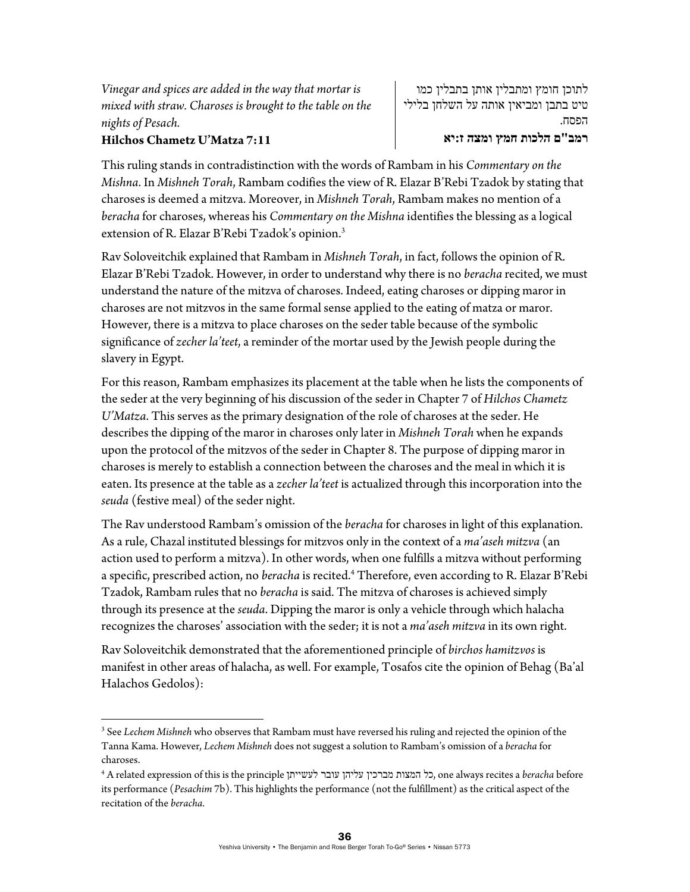*Vinegar and spices are added in the way that mortar is mixed with straw. Charoses is brought to the table on the nights of Pesach.* 

#### **Hilchos Chametz U'Matza 7:11**

לתוכן חומץ ומתבלין אותן בתבלין כמו טיט בתבן ומביאין אותה על השלחן בלילי הפסח.

#### **רמב"ם הלכות חמץ ומצה ז:יא**

This ruling stands in contradistinction with the words of Rambam in his *Commentary on the Mishna*. In *Mishneh Torah*, Rambam codifies the view of R. Elazar B'Rebi Tzadok by stating that charoses is deemed a mitzva. Moreover, in *Mishneh Torah*, Rambam makes no mention of a *beracha* for charoses, whereas his *Commentary on the Mishna* identifies the blessing as a logical extension of R. Elazar B'Rebi Tzadok's opinion.3

Rav Soloveitchik explained that Rambam in *Mishneh Torah*, in fact, follows the opinion of R. Elazar B'Rebi Tzadok. However, in order to understand why there is no *beracha* recited, we must understand the nature of the mitzva of charoses. Indeed, eating charoses or dipping maror in charoses are not mitzvos in the same formal sense applied to the eating of matza or maror. However, there is a mitzva to place charoses on the seder table because of the symbolic significance of *zecher la'teet*, a reminder of the mortar used by the Jewish people during the slavery in Egypt.

For this reason, Rambam emphasizes its placement at the table when he lists the components of the seder at the very beginning of his discussion of the seder in Chapter 7 of *Hilchos Chametz U'Matza*. This serves as the primary designation of the role of charoses at the seder. He describes the dipping of the maror in charoses only later in *Mishneh Torah* when he expands upon the protocol of the mitzvos of the seder in Chapter 8. The purpose of dipping maror in charoses is merely to establish a connection between the charoses and the meal in which it is eaten. Its presence at the table as a *zecher la'teet* is actualized through this incorporation into the *seuda* (festive meal) of the seder night.

The Rav understood Rambam's omission of the *beracha* for charoses in light of this explanation. As a rule, Chazal instituted blessings for mitzvos only in the context of a *ma'aseh mitzva* (an action used to perform a mitzva). In other words, when one fulfills a mitzva without performing a specific, prescribed action, no *beracha* is recited.4 Therefore, even according to R. Elazar B'Rebi Tzadok, Rambam rules that no *beracha* is said. The mitzva of charoses is achieved simply through its presence at the *seuda*. Dipping the maror is only a vehicle through which halacha recognizes the charoses' association with the seder; it is not a *ma'aseh mitzva* in its own right.

Rav Soloveitchik demonstrated that the aforementioned principle of *birchos hamitzvos* is manifest in other areas of halacha, as well. For example, Tosafos cite the opinion of Behag (Ba'al Halachos Gedolos):

<sup>3</sup> See *Lechem Mishneh* who observes that Rambam must have reversed his ruling and rejected the opinion of the Tanna Kama. However, *Lechem Mishneh* does not suggest a solution to Rambam's omission of a *beracha* for charoses.

<sup>4</sup> A related expression of this is the principle לעשייתן עובר עליהן מברכין המצות כל, one always recites a *beracha* before its performance (*Pesachim* 7b). This highlights the performance (not the fulfillment) as the critical aspect of the recitation of the *beracha*.